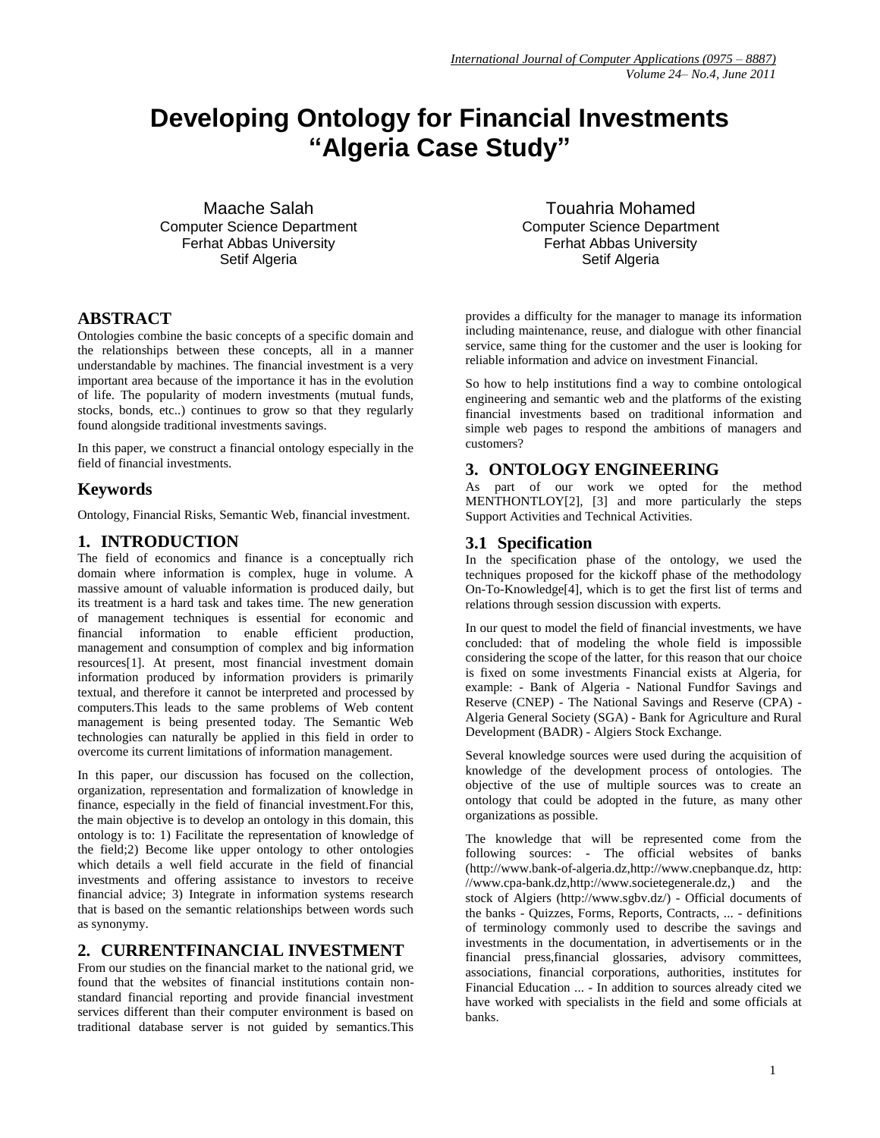# **Developing Ontology for Financial Investments "Algeria Case Study"**

Maache Salah Computer Science Department Ferhat Abbas University Setif Algeria

#### **ABSTRACT**

Ontologies combine the basic concepts of a specific domain and the relationships between these concepts, all in a manner understandable by machines. The financial investment is a very important area because of the importance it has in the evolution of life. The popularity of modern investments (mutual funds, stocks, bonds, etc..) continues to grow so that they regularly found alongside traditional investments savings.

In this paper, we construct a financial ontology especially in the field of financial investments.

#### **Keywords**

Ontology, Financial Risks, Semantic Web, financial investment.

#### **1. INTRODUCTION**

The field of economics and finance is a conceptually rich domain where information is complex, huge in volume. A massive amount of valuable information is produced daily, but its treatment is a hard task and takes time. The new generation of management techniques is essential for economic and financial information to enable efficient production, management and consumption of complex and big information resource[s\[1\].](#page-4-0) At present, most financial investment domain information produced by information providers is primarily textual, and therefore it cannot be interpreted and processed by computers.This leads to the same problems of Web content management is being presented today. The Semantic Web technologies can naturally be applied in this field in order to overcome its current limitations of information management.

In this paper, our discussion has focused on the collection, organization, representation and formalization of knowledge in finance, especially in the field of financial investment.For this, the main objective is to develop an ontology in this domain, this ontology is to: 1) Facilitate the representation of knowledge of the field;2) Become like upper ontology to other ontologies which details a well field accurate in the field of financial investments and offering assistance to investors to receive financial advice; 3) Integrate in information systems research that is based on the semantic relationships between words such as synonymy.

#### **2. CURRENTFINANCIAL INVESTMENT**

From our studies on the financial market to the national grid, we found that the websites of financial institutions contain nonstandard financial reporting and provide financial investment services different than their computer environment is based on traditional database server is not guided by semantics.This

Touahria Mohamed Computer Science Department Ferhat Abbas University Setif Algeria

provides a difficulty for the manager to manage its information including maintenance, reuse, and dialogue with other financial service, same thing for the customer and the user is looking for reliable information and advice on investment Financial.

So how to help institutions find a way to combine ontological engineering and semantic web and the platforms of the existing financial investments based on traditional information and simple web pages to respond the ambitions of managers and customers?

#### **3. ONTOLOGY ENGINEERING**

As part of our work we opted for the method MENTHONTLO[Y\[2\],](#page-5-0) [\[3\]](#page-5-1) and more particularly the steps Support Activities and Technical Activities.

#### **3.1 Specification**

In the specification phase of the ontology, we used the techniques proposed for the kickoff phase of the methodology On-To-Knowledg[e\[4\],](#page-5-2) which is to get the first list of terms and relations through session discussion with experts.

In our quest to model the field of financial investments, we have concluded: that of modeling the whole field is impossible considering the scope of the latter, for this reason that our choice is fixed on some investments Financial exists at Algeria, for example: - Bank of Algeria - National Fundfor Savings and Reserve (CNEP) - The National Savings and Reserve (CPA) - Algeria General Society (SGA) - Bank for Agriculture and Rural Development (BADR) - Algiers Stock Exchange.

Several knowledge sources were used during the acquisition of knowledge of the development process of ontologies. The objective of the use of multiple sources was to create an ontology that could be adopted in the future, as many other organizations as possible.

The knowledge that will be represented come from the following sources: - The official websites of banks (http://www.bank-of-algeria.dz,http://www.cnepbanque.dz, http: //www.cpa-bank.dz,http://www.societegenerale.dz,) and the stock of Algiers (http://www.sgbv.dz/) - Official documents of the banks - Quizzes, Forms, Reports, Contracts, ... - definitions of terminology commonly used to describe the savings and investments in the documentation, in advertisements or in the financial press,financial glossaries, advisory committees, associations, financial corporations, authorities, institutes for Financial Education ... - In addition to sources already cited we have worked with specialists in the field and some officials at banks.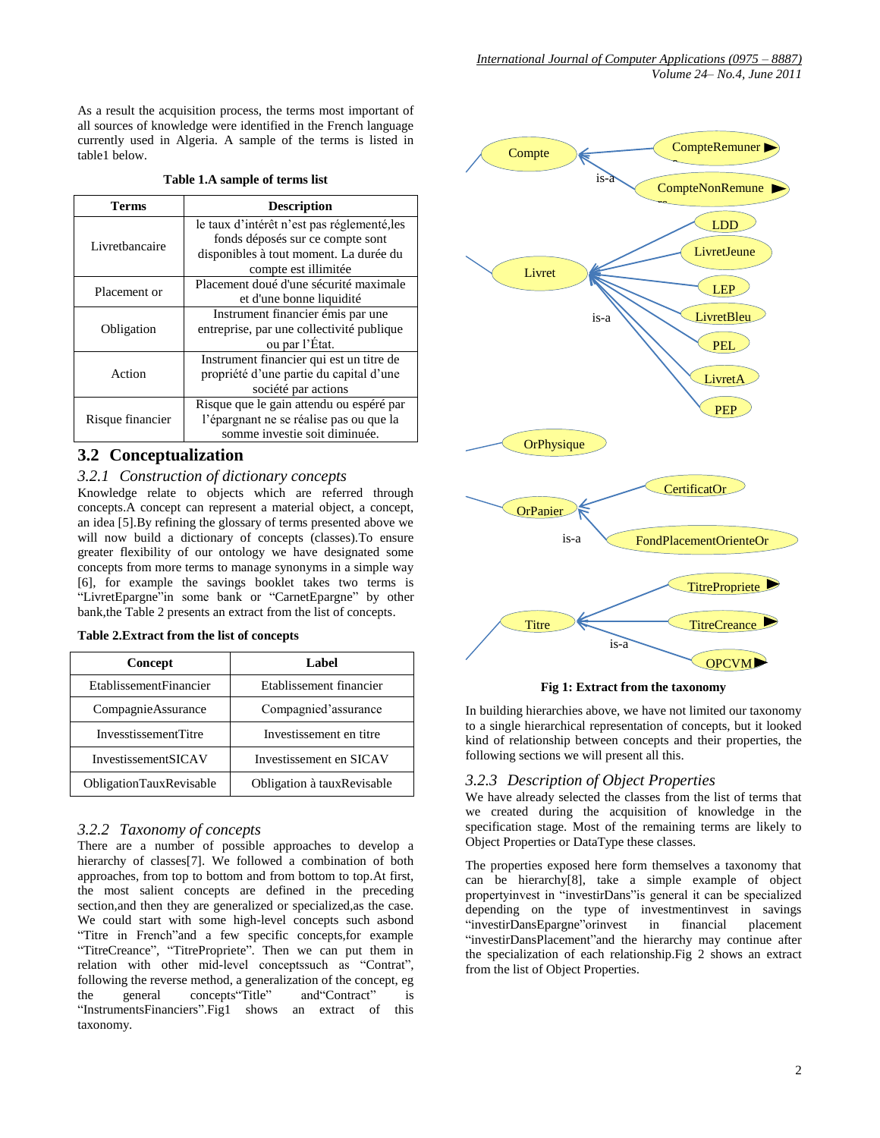|  | Table 1.A sample of terms list |  |
|--|--------------------------------|--|
|--|--------------------------------|--|

| Terms            | <b>Description</b>                          |  |  |
|------------------|---------------------------------------------|--|--|
|                  | le taux d'intérêt n'est pas réglementé, les |  |  |
| Livrethancaire   | fonds déposés sur ce compte sont            |  |  |
|                  | disponibles à tout moment. La durée du      |  |  |
|                  | compte est illimitée                        |  |  |
| Placement or     | Placement doué d'une sécurité maximale      |  |  |
|                  | et d'une bonne liquidité                    |  |  |
|                  | Instrument financier émis par une           |  |  |
| Obligation       | entreprise, par une collectivité publique   |  |  |
|                  | ou par l'État.                              |  |  |
|                  | Instrument financier qui est un titre de    |  |  |
| Action           | propriété d'une partie du capital d'une     |  |  |
|                  | société par actions                         |  |  |
|                  | Risque que le gain attendu ou espéré par    |  |  |
| Risque financier | l'épargnant ne se réalise pas ou que la     |  |  |
|                  | somme investie soit diminuée.               |  |  |

#### **3.2 Conceptualization**

#### *3.2.1 Construction of dictionary concepts*

Knowledge relate to objects which are referred through concepts.A concept can represent a material object, a concept, an idea [\[5\].](#page-5-3)By refining the glossary of terms presented above we will now build a dictionary of concepts (classes).To ensure greater flexibility of our ontology we have designated some concepts from more terms to manage synonyms in a simple way [\[6\],](#page-5-4) for example the savings booklet takes two terms is "LivretEpargne"in some bank or "CarnetEpargne" by other bank,the Table 2 presents an extract from the list of concepts.

| Concept                        | Label                       |
|--------------------------------|-----------------------------|
| <b>EtablissementFinancier</b>  | Etablissement financier     |
| Compagnie Assurance            | Compagnied'assurance        |
| <b>InvesstissementTitre</b>    | Investissement en titre     |
| InvestissementSICAV            | Investissement en SICAV     |
| <b>ObligationTauxRevisable</b> | Obligation à taux Revisable |

#### *3.2.2 Taxonomy of concepts*

There are a number of possible approaches to develop a hierarchy of classes<sup>[7]</sup>. We followed a combination of both approaches, from top to bottom and from bottom to top.At first, the most salient concepts are defined in the preceding section,and then they are generalized or specialized,as the case. We could start with some high-level concepts such asbond "Titre in French"and a few specific concepts,for example "TitreCreance", "TitrePropriete". Then we can put them in relation with other mid-level conceptssuch as "Contrat", following the reverse method, a generalization of the concept, eg the general concepts"Title" and"Contract" is "InstrumentsFinanciers".Fig1 shows an extract of this taxonomy.



**Fig 1: Extract from the taxonomy**

In building hierarchies above, we have not limited our taxonomy to a single hierarchical representation of concepts, but it looked kind of relationship between concepts and their properties, the following sections we will present all this.

#### *3.2.3 Description of Object Properties*

We have already selected the classes from the list of terms that we created during the acquisition of knowledge in the specification stage. Most of the remaining terms are likely to Object Properties or DataType these classes.

The properties exposed here form themselves a taxonomy that can be hierarch[y\[8\],](#page-5-6) take a simple example of object propertyinvest in "investirDans"is general it can be specialized depending on the type of investmentinvest in savings "investirDansEpargne"orinvest in financial placement "investirDansPlacement"and the hierarchy may continue after the specialization of each relationship.Fig 2 shows an extract from the list of Object Properties.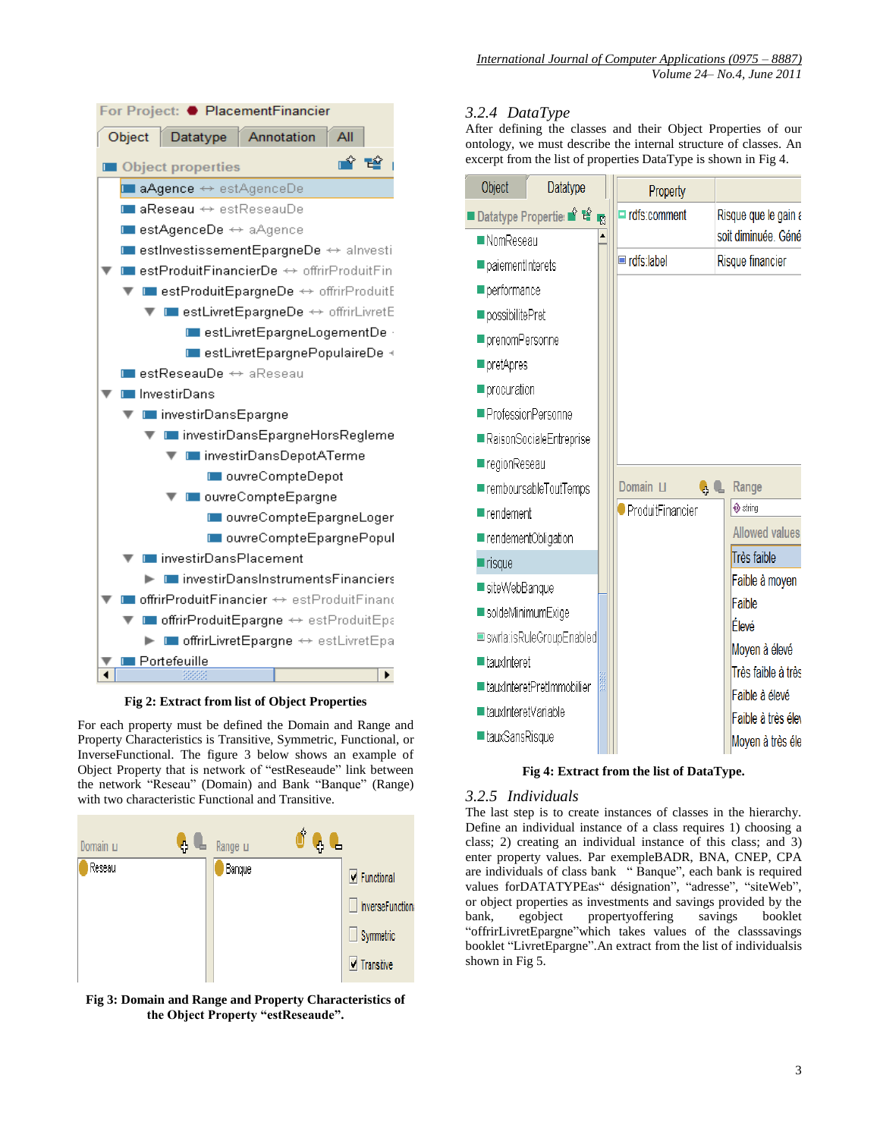

**Fig 2: Extract from list of Object Properties**

For each property must be defined the Domain and Range and Property Characteristics is Transitive, Symmetric, Functional, or InverseFunctional. The figure 3 below shows an example of Object Property that is network of "estReseaude" link between the network "Reseau" (Domain) and Bank "Banque" (Range) with two characteristic Functional and Transitive.



**Fig 3: Domain and Range and Property Characteristics of the Object Property "estReseaude".**

#### *3.2.4 DataType*

After defining the classes and their Object Properties of our ontology, we must describe the internal structure of classes. An excerpt from the list of properties DataType is shown in Fig 4.

| Object                   | Datatype                    |   |  | Property         |      |                         |  |
|--------------------------|-----------------------------|---|--|------------------|------|-------------------------|--|
|                          | Datatype Propertie: • 12    | 收 |  | rdfs:comment     |      | Risque que le gain a    |  |
| ■ NomReseau              |                             |   |  |                  |      | soit diminuée. Géné     |  |
| paiementInterets         |                             |   |  | rdfs:label       |      | <b>Risque financier</b> |  |
| performance              |                             |   |  |                  |      |                         |  |
| possibilitePret          |                             |   |  |                  |      |                         |  |
| prenomPersonne           |                             |   |  |                  |      |                         |  |
| pretApres                |                             |   |  |                  |      |                         |  |
| procuration              |                             |   |  |                  |      |                         |  |
| ProfessionPersonne       |                             |   |  |                  |      |                         |  |
|                          | RaisonSocialeEntreprise     |   |  |                  |      |                         |  |
| regionReseau             |                             |   |  |                  |      |                         |  |
|                          | remboursableToutTemps       |   |  | Domain LI        | e, C | Range                   |  |
| $\blacksquare$ rendement |                             |   |  | ProduitFinancier |      | $\Phi$ string           |  |
| rendementObligation      |                             |   |  |                  |      | <b>Allowed values</b>   |  |
| risque                   |                             |   |  |                  |      | <b>Très faible</b>      |  |
| l siteWebBanque          |                             |   |  |                  |      | Faible à moyen          |  |
| soldeMinimumExige        |                             |   |  |                  |      | Faible                  |  |
|                          | swrla:isRuleGroupEnabled    |   |  |                  |      | Élevé<br>Moyen à élevé  |  |
| tauxInteret              |                             |   |  |                  |      | Très faible à très      |  |
|                          | ■ tauxInteretPretImmobilier |   |  |                  |      | Faible à élevé          |  |
| ■ tauxInteretVariable    |                             |   |  |                  |      | Faible à très élev      |  |
| ■tauxSansRisque          |                             |   |  |                  |      | Moyen à très éle        |  |
|                          |                             |   |  |                  |      |                         |  |

**Fig 4: Extract from the list of DataType.**

#### *3.2.5 Individuals*

The last step is to create instances of classes in the hierarchy. Define an individual instance of a class requires 1) choosing a class; 2) creating an individual instance of this class; and 3) enter property values. Par exempleBADR, BNA, CNEP, CPA are individuals of class bank " Banque", each bank is required values forDATATYPEas" désignation", "adresse", "siteWeb", or object properties as investments and savings provided by the bank, egobject propertyoffering savings booklet "offrirLivretEpargne"which takes values of the classsavings booklet "LivretEpargne".An extract from the list of individualsis shown in Fig 5.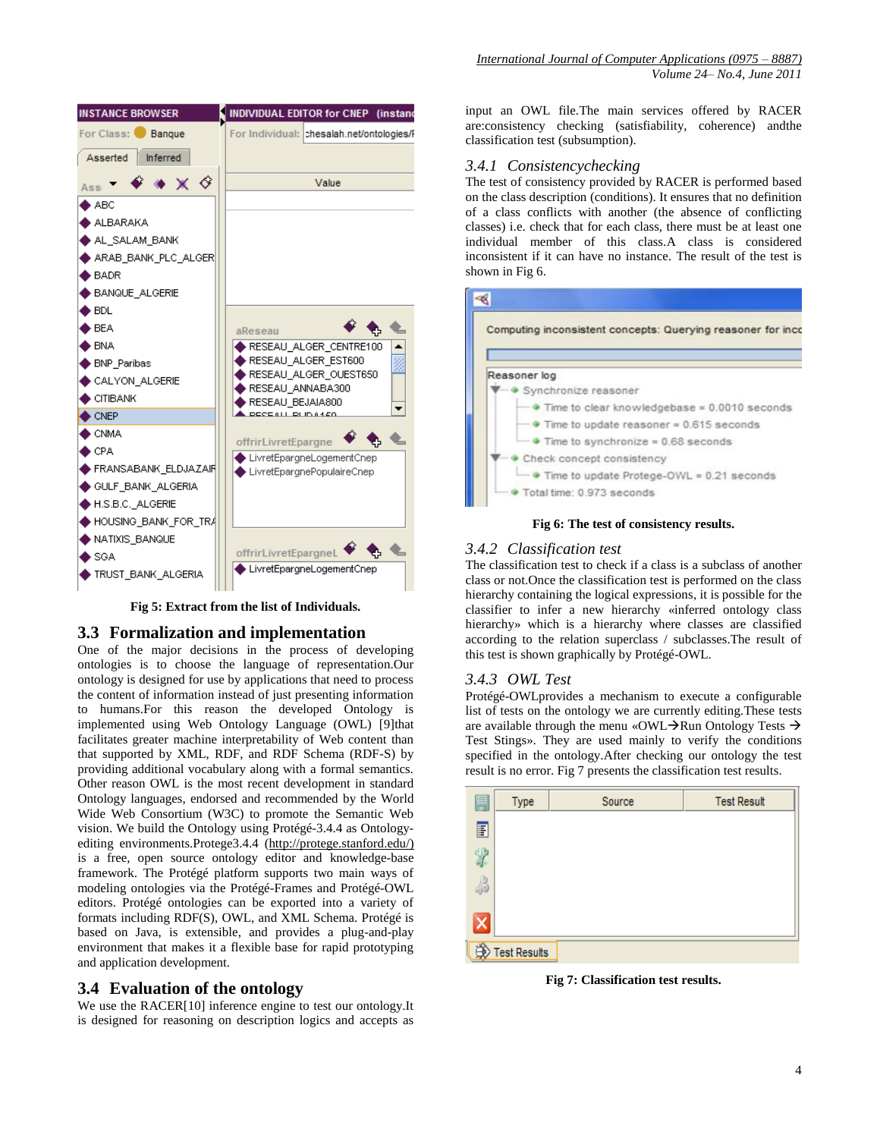

*International Journal of Computer Applications (0975 – 8887) Volume 24– No.4, June 2011*

input an OWL file.The main services offered by RACER are:consistency checking (satisfiability, coherence) andthe classification test (subsumption).

#### *3.4.1 Consistencychecking*

The test of consistency provided by RACER is performed based on the class description (conditions). It ensures that no definition of a class conflicts with another (the absence of conflicting classes) i.e. check that for each class, there must be at least one individual member of this class.A class is considered inconsistent if it can have no instance. The result of the test is shown in Fig 6.

# $\mathscr{B}$



**Fig 6: The test of consistency results.**

#### *3.4.2 Classification test*

The classification test to check if a class is a subclass of another class or not.Once the classification test is performed on the class hierarchy containing the logical expressions, it is possible for the classifier to infer a new hierarchy «inferred ontology class hierarchy» which is a hierarchy where classes are classified according to the relation superclass / subclasses.The result of this test is shown graphically by Protégé-OWL.

#### *3.4.3 OWL Test*

Protégé-OWLprovides a mechanism to execute a configurable list of tests on the ontology we are currently editing.These tests are available through the menu «OWL $\rightarrow$ Run Ontology Tests  $\rightarrow$ Test Stings». They are used mainly to verify the conditions specified in the ontology.After checking our ontology the test result is no error. Fig 7 presents the classification test results.



**Fig 7: Classification test results.**

**Fig 5: Extract from the list of Individuals.**

# **3.3 Formalization and implementation**

One of the major decisions in the process of developing ontologies is to choose the language of representation.Our ontology is designed for use by applications that need to process the content of information instead of just presenting information to humans.For this reason the developed Ontology is implemented using Web Ontology Language (OWL) [\[9\]t](#page-5-7)hat facilitates greater machine interpretability of Web content than that supported by XML, RDF, and RDF Schema (RDF-S) by providing additional vocabulary along with a formal semantics. Other reason OWL is the most recent development in standard Ontology languages, endorsed and recommended by the World Wide Web Consortium (W3C) to promote the Semantic Web vision. We build the Ontology using Protégé-3.4.4 as Ontology-editing environments.Protege3.4.4 [\(http://protege.stanford.edu/\)](http://protege.stanford.edu/) is a free, open source ontology editor and knowledge-base framework. The Protégé platform supports two main ways of modeling ontologies via the Protégé-Frames and Protégé-OWL editors. Protégé ontologies can be exported into a variety of formats including RDF(S), OWL, and XML Schema. Protégé is based on Java, is extensible, and provides a plug-and-play environment that makes it a flexible base for rapid prototyping and application development.

# **3.4 Evaluation of the ontology**

We use the RACE[R\[10\]](#page-5-8) inference engine to test our ontology.It is designed for reasoning on description logics and accepts as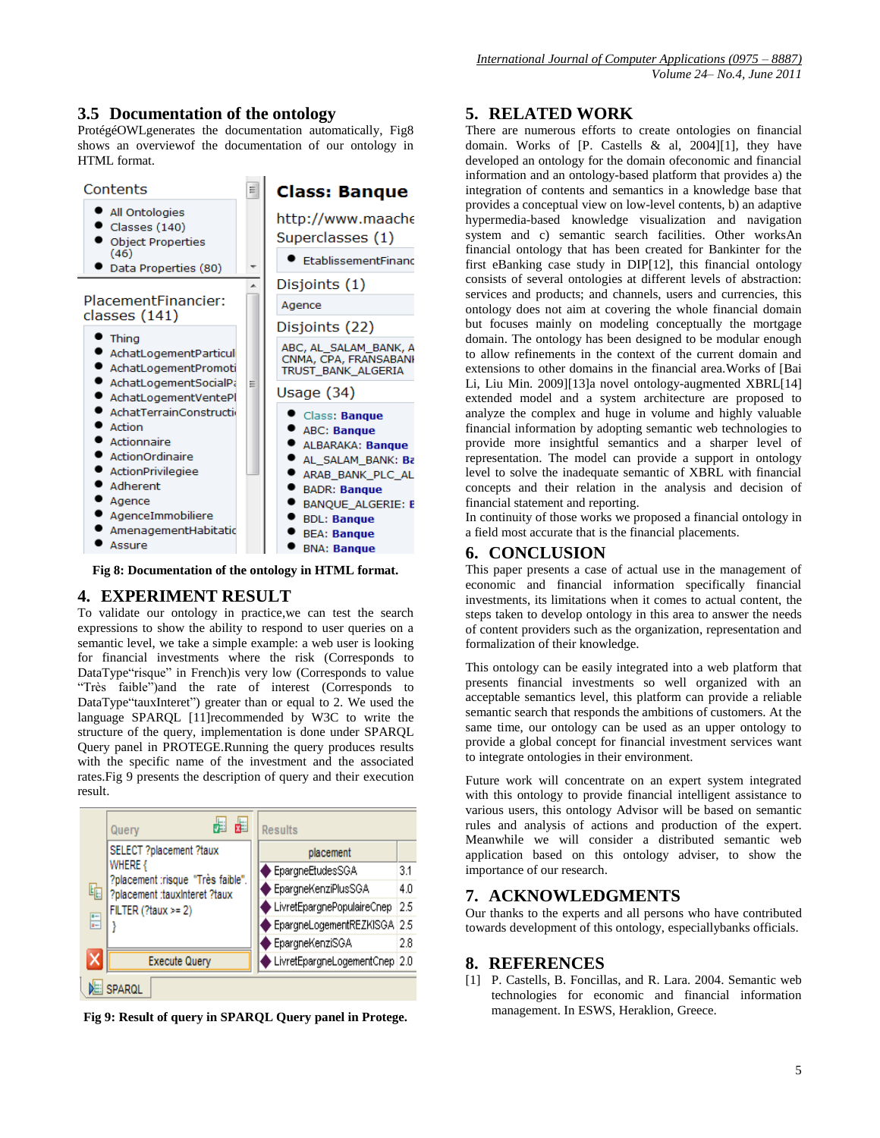#### **3.5 Documentation of the ontology**

ProtégéOWLgenerates the documentation automatically, Fig8 shows an overviewof the documentation of our ontology in HTML format.

| Contents                                                                                                                                                              |   | <b>Class: Banque</b>                                                                                                                                                                                                  |  |  |
|-----------------------------------------------------------------------------------------------------------------------------------------------------------------------|---|-----------------------------------------------------------------------------------------------------------------------------------------------------------------------------------------------------------------------|--|--|
| All Ontologies<br>Classes (140)<br><b>Object Properties</b><br>(46)                                                                                                   |   | http://www.maache<br>Superclasses (1)<br>EtablissementFinanc                                                                                                                                                          |  |  |
| Data Properties (80)<br>PlacementFinancier:                                                                                                                           | ▲ | Disjoints (1)                                                                                                                                                                                                         |  |  |
| classes (141)                                                                                                                                                         |   | Agence                                                                                                                                                                                                                |  |  |
| Thing<br>AchatLogementParticul<br>AchatLogementPromoti                                                                                                                | Ξ | Disjoints (22)<br>ABC, AL_SALAM_BANK, A<br>CNMA, CPA, FRANSABANI<br>TRUST_BANK_ALGERIA                                                                                                                                |  |  |
| AchatLogementSocialPa<br>AchatLogementVentePl                                                                                                                         |   | Usage (34)                                                                                                                                                                                                            |  |  |
| AchatTerrainConstructio<br>Action<br>Actionnaire<br>ActionOrdinaire<br>ActionPrivilegiee<br>Adherent<br>Agence<br>AgenceImmobiliere<br>AmenagementHabitatic<br>Assure |   | Class: Banque<br><b>ABC: Banque</b><br>ALBARAKA: Banque<br>AL SALAM_BANK: Ba<br>ARAB BANK PLC AL<br><b>BADR: Banque</b><br><b>BANQUE ALGERIE: B</b><br><b>BDL: Banque</b><br><b>BEA: Banque</b><br><b>BNA: Banque</b> |  |  |

**Fig 8: Documentation of the ontology in HTML format.**

# **4. EXPERIMENT RESULT**

To validate our ontology in practice,we can test the search expressions to show the ability to respond to user queries on a semantic level, we take a simple example: a web user is looking for financial investments where the risk (Corresponds to DataType"risque" in French)is very low (Corresponds to value "Très faible")and the rate of interest (Corresponds to DataType"tauxInteret") greater than or equal to 2. We used the language SPARQL [\[11\]r](#page-5-9)ecommended by W3C to write the structure of the query, implementation is done under SPARQL Query panel in PROTEGE.Running the query produces results with the specific name of the investment and the associated rates.Fig 9 presents the description of query and their execution result.

|  |                      | 麗<br>Query                                   |  | <b>Results</b>                |     |
|--|----------------------|----------------------------------------------|--|-------------------------------|-----|
|  |                      | SELECT ?placement ?taux                      |  | placement                     |     |
|  |                      | WHERE {<br>?placement :risque "Très faible". |  | EpargneEtudesSGA              | 3.1 |
|  | 咰                    | ?placement :tauxInteret ?taux                |  | EpargneKenziPlusSGA           | 4.0 |
|  | $\overline{\bullet}$ | FILTER (?taux >= 2)                          |  | LivretEpargnePopulaireCnep    | 2.5 |
|  | ī-                   |                                              |  | EpargneLogementREZKISGA 2.5   |     |
|  |                      |                                              |  | EpargneKenziSGA               | 2.8 |
|  |                      | <b>Execute Query</b>                         |  | LivretEpargneLogementCnep 2.0 |     |
|  |                      | SPAROL                                       |  |                               |     |

**Fig 9: Result of query in SPARQL Query panel in Protege.**

#### **5. RELATED WORK**

There are numerous efforts to create ontologies on financial domain. Works of [P. Castells & al, 2004[\]\[1\],](#page-4-0) they have developed an ontology for the domain ofeconomic and financial information and an ontology-based platform that provides a) the integration of contents and semantics in a knowledge base that provides a conceptual view on low-level contents, b) an adaptive hypermedia-based knowledge visualization and navigation system and c) semantic search facilities. Other worksAn financial ontology that has been created for Bankinter for the first eBanking case study in DI[P\[12\],](#page-5-10) this financial ontology consists of several ontologies at different levels of abstraction: services and products; and channels, users and currencies, this ontology does not aim at covering the whole financial domain but focuses mainly on modeling conceptually the mortgage domain. The ontology has been designed to be modular enough to allow refinements in the context of the current domain and extensions to other domains in the financial area.Works of [Bai Li, Liu Min. 2009[\]\[13\]a](#page-5-11) novel ontology-augmented XBR[L\[14\]](#page-5-12) extended model and a system architecture are proposed to analyze the complex and huge in volume and highly valuable financial information by adopting semantic web technologies to provide more insightful semantics and a sharper level of representation. The model can provide a support in ontology level to solve the inadequate semantic of XBRL with financial concepts and their relation in the analysis and decision of financial statement and reporting.

In continuity of those works we proposed a financial ontology in a field most accurate that is the financial placements.

#### **6. CONCLUSION**

This paper presents a case of actual use in the management of economic and financial information specifically financial investments, its limitations when it comes to actual content, the steps taken to develop ontology in this area to answer the needs of content providers such as the organization, representation and formalization of their knowledge.

This ontology can be easily integrated into a web platform that presents financial investments so well organized with an acceptable semantics level, this platform can provide a reliable semantic search that responds the ambitions of customers. At the same time, our ontology can be used as an upper ontology to provide a global concept for financial investment services want to integrate ontologies in their environment.

Future work will concentrate on an expert system integrated with this ontology to provide financial intelligent assistance to various users, this ontology Advisor will be based on semantic rules and analysis of actions and production of the expert. Meanwhile we will consider a distributed semantic web application based on this ontology adviser, to show the importance of our research.

#### **7. ACKNOWLEDGMENTS**

Our thanks to the experts and all persons who have contributed towards development of this ontology, especiallybanks officials.

#### **8. REFERENCES**

<span id="page-4-0"></span>[1] P. Castells, B. Foncillas, and R. Lara. 2004. Semantic web technologies for economic and financial information management. In ESWS, Heraklion, Greece.